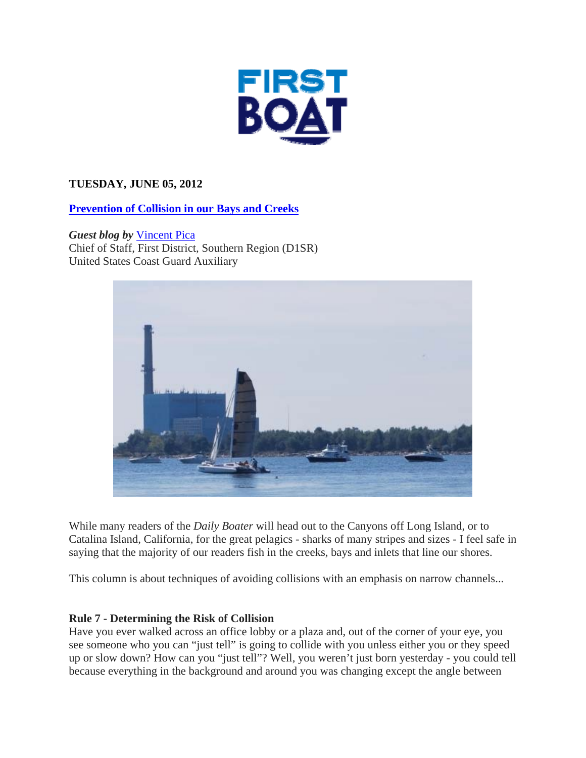

# **TUESDAY, JUNE 05, 2012**

# **Prevention of Collision in our Bays and Creeks**

*Guest blog by* Vincent Pica Chief of Staff, First District, Southern Region (D1SR) United States Coast Guard Auxiliary



While many readers of the *Daily Boater* will head out to the Canyons off Long Island, or to Catalina Island, California, for the great pelagics - sharks of many stripes and sizes - I feel safe in saying that the majority of our readers fish in the creeks, bays and inlets that line our shores.

This column is about techniques of avoiding collisions with an emphasis on narrow channels...

## **Rule 7 - Determining the Risk of Collision**

Have you ever walked across an office lobby or a plaza and, out of the corner of your eye, you see someone who you can "just tell" is going to collide with you unless either you or they speed up or slow down? How can you "just tell"? Well, you weren't just born yesterday - you could tell because everything in the background and around you was changing except the angle between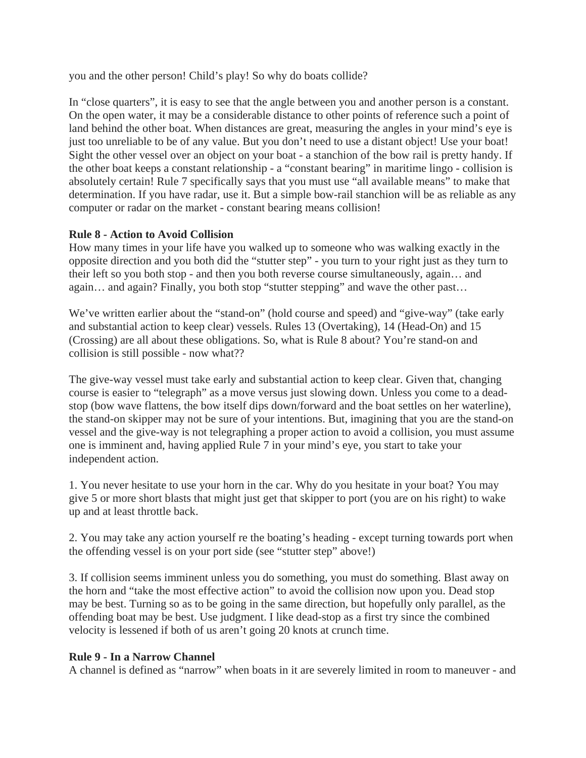you and the other person! Child's play! So why do boats collide?

In "close quarters", it is easy to see that the angle between you and another person is a constant. On the open water, it may be a considerable distance to other points of reference such a point of land behind the other boat. When distances are great, measuring the angles in your mind's eye is just too unreliable to be of any value. But you don't need to use a distant object! Use your boat! Sight the other vessel over an object on your boat - a stanchion of the bow rail is pretty handy. If the other boat keeps a constant relationship - a "constant bearing" in maritime lingo - collision is absolutely certain! Rule 7 specifically says that you must use "all available means" to make that determination. If you have radar, use it. But a simple bow-rail stanchion will be as reliable as any computer or radar on the market - constant bearing means collision!

## **Rule 8 - Action to Avoid Collision**

How many times in your life have you walked up to someone who was walking exactly in the opposite direction and you both did the "stutter step" - you turn to your right just as they turn to their left so you both stop - and then you both reverse course simultaneously, again… and again… and again? Finally, you both stop "stutter stepping" and wave the other past…

We've written earlier about the "stand-on" (hold course and speed) and "give-way" (take early and substantial action to keep clear) vessels. Rules 13 (Overtaking), 14 (Head-On) and 15 (Crossing) are all about these obligations. So, what is Rule 8 about? You're stand-on and collision is still possible - now what??

The give-way vessel must take early and substantial action to keep clear. Given that, changing course is easier to "telegraph" as a move versus just slowing down. Unless you come to a deadstop (bow wave flattens, the bow itself dips down/forward and the boat settles on her waterline), the stand-on skipper may not be sure of your intentions. But, imagining that you are the stand-on vessel and the give-way is not telegraphing a proper action to avoid a collision, you must assume one is imminent and, having applied Rule 7 in your mind's eye, you start to take your independent action.

1. You never hesitate to use your horn in the car. Why do you hesitate in your boat? You may give 5 or more short blasts that might just get that skipper to port (you are on his right) to wake up and at least throttle back.

2. You may take any action yourself re the boating's heading - except turning towards port when the offending vessel is on your port side (see "stutter step" above!)

3. If collision seems imminent unless you do something, you must do something. Blast away on the horn and "take the most effective action" to avoid the collision now upon you. Dead stop may be best. Turning so as to be going in the same direction, but hopefully only parallel, as the offending boat may be best. Use judgment. I like dead-stop as a first try since the combined velocity is lessened if both of us aren't going 20 knots at crunch time.

### **Rule 9 - In a Narrow Channel**

A channel is defined as "narrow" when boats in it are severely limited in room to maneuver - and